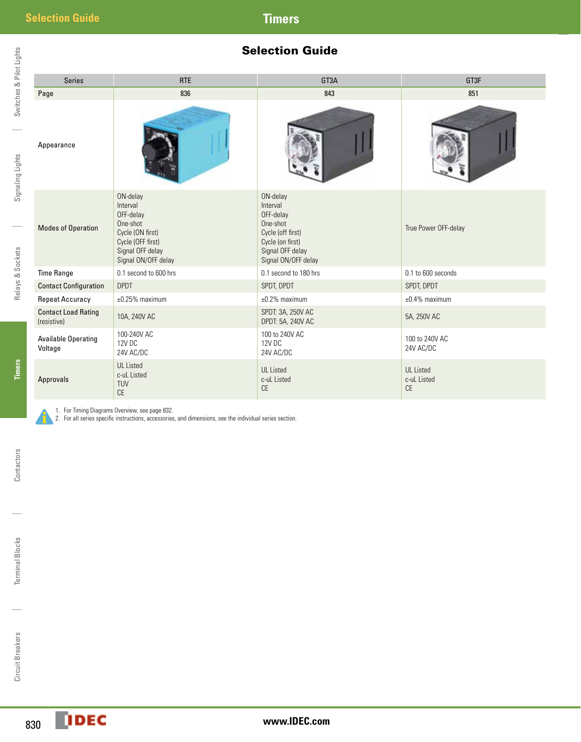## **Timers**

## Selection Guide

| <b>Series</b>                             | <b>RTE</b>                                                                                                                        | GT3A                                                                                                                              | GT3F                                                      |
|-------------------------------------------|-----------------------------------------------------------------------------------------------------------------------------------|-----------------------------------------------------------------------------------------------------------------------------------|-----------------------------------------------------------|
| Page                                      | 836                                                                                                                               | 843                                                                                                                               | 851                                                       |
| Appearance                                |                                                                                                                                   |                                                                                                                                   |                                                           |
| <b>Modes of Operation</b>                 | ON-delay<br>Interval<br>OFF-delay<br>One-shot<br>Cycle (ON first)<br>Cycle (OFF first)<br>Signal OFF delay<br>Signal ON/OFF delay | ON-delay<br>Interval<br>OFF-delay<br>One-shot<br>Cycle (off first)<br>Cycle (on first)<br>Signal OFF delay<br>Signal ON/OFF delay | True Power OFF-delay                                      |
| <b>Time Range</b>                         | 0.1 second to 600 hrs                                                                                                             | 0.1 second to 180 hrs                                                                                                             | 0.1 to 600 seconds                                        |
| <b>Contact Configuration</b>              | <b>DPDT</b>                                                                                                                       | SPDT, DPDT                                                                                                                        | SPDT, DPDT                                                |
| <b>Repeat Accuracy</b>                    | $±0.25%$ maximum                                                                                                                  | $±0.2\%$ maximum                                                                                                                  | $\pm 0.4\%$ maximum                                       |
| <b>Contact Load Rating</b><br>(resistive) | 10A, 240V AC                                                                                                                      | SPDT: 3A, 250V AC<br>DPDT: 5A, 240V AC                                                                                            | 5A, 250V AC                                               |
| <b>Available Operating</b><br>Voltage     | 100-240V AC<br>12V DC<br>24V AC/DC                                                                                                | 100 to 240V AC<br>12V DC<br>24V AC/DC                                                                                             | 100 to 240V AC<br>24V AC/DC                               |
| Approvals                                 | <b>UL Listed</b><br>c-uL Listed<br>TUV<br>CE                                                                                      | <b>UL Listed</b><br>c-uL Listed<br><b>CE</b>                                                                                      | <b>UL Listed</b><br>c-uL Listed<br>$\mathbb{C}\mathsf{E}$ |

1. For Timing Diagrams Overview, see page 832.

2. For all series specific instructions, accessories, and dimensions, see the individual series section.

Switches & Pilot Lights Switches & Pilot Lights